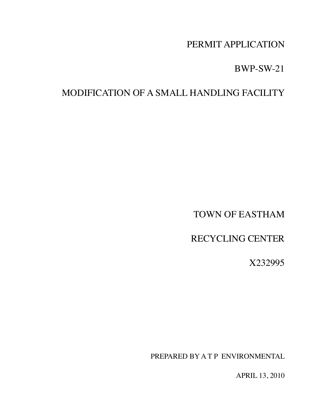# PERMIT APPLICATION

BWP-SW-21

# MODIFICATION OF A SMALL HANDLING FACILITY

TOWN OF EASTHAM

RECYCLING CENTER

X232995

PREPARED BY A T P ENVIRONMENTAL

APRIL 13, 2010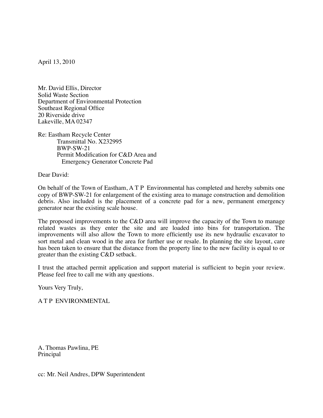April 13, 2010

Mr. David Ellis, Director Solid Waste Section Department of Environmental Protection Southeast Regional Office 20 Riverside drive Lakeville, MA 02347

Re: Eastham Recycle Center Transmittal No. X232995 BWP-SW-21 Permit Modification for C&D Area and Emergency Generator Concrete Pad

Dear David:

On behalf of the Town of Eastham, A T P Environmental has completed and hereby submits one copy of BWP-SW-21 for enlargement of the existing area to manage construction and demolition debris. Also included is the placement of a concrete pad for a new, permanent emergency generator near the existing scale house.

The proposed improvements to the C&D area will improve the capacity of the Town to manage related wastes as they enter the site and are loaded into bins for transportation. The improvements will also allow the Town to more efficiently use its new hydraulic excavator to sort metal and clean wood in the area for further use or resale. In planning the site layout, care has been taken to ensure that the distance from the property line to the new facility is equal to or greater than the existing C&D setback.

I trust the attached permit application and support material is sufficient to begin your review. Please feel free to call me with any questions.

Yours Very Truly,

A T P ENVIRONMENTAL

A. Thomas Pawlina, PE Principal

cc: Mr. Neil Andres, DPW Superintendent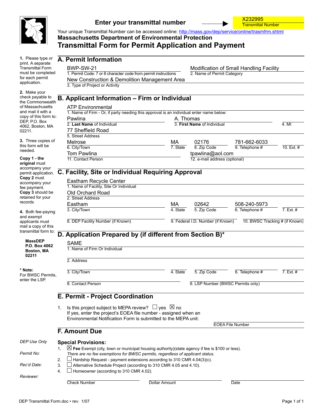

# **Enter your transmittal number** Allem Manuson Manuson Transmittal

Transmittal Number

Your unique Transmittal Number can be accessed online: http://mass.gov/dep/service/online/trasmfrm.shtml **Massachusetts Department of Environmental Protection**

# **Transmittal Form for Permit Application and Payment**

**1.** Please type or print. A separate Transmittal Form must be completed for each permit application.

**2.** Make your check payable to the Commonwealth of Massachusetts and mail it with a copy of this form to: DEP, P.O. Box 4062, Boston, MA 02211.

**3.** Three copies of this form will be needed.

**Copy 1 - the original** must accompany your permit application. **Copy 2** must accompany your fee payment. **Copy 3** should be retained for your records

**4.** Both fee-paying and exempt applicants must mail a copy of this transmittal form to:

> **MassDEP P.O. Box 4062 Boston, MA 02211**

**\* Note:** For BWSC Permits, enter the LSP.

*DEP Use Only*

*Permit No:*

*Rec'd Date:*

*Reviewer:*

|                                                                                                                                                    | BWP-SW-21 |                                   |                                         |            |
|----------------------------------------------------------------------------------------------------------------------------------------------------|-----------|-----------------------------------|-----------------------------------------|------------|
| 1. Permit Code: 7 or 8 character code from permit instructions                                                                                     |           | 2. Name of Permit Category        | Modification of Small Handling Facility |            |
| New Construction & Demolition Management Area                                                                                                      |           |                                   |                                         |            |
| 3. Type of Project or Activity                                                                                                                     |           |                                   |                                         |            |
| B. Applicant Information - Firm or Individual                                                                                                      |           |                                   |                                         |            |
| <b>ATP Environmental</b>                                                                                                                           |           |                                   |                                         |            |
| 1. Name of Firm - Or, if party needing this approval is an individual enter name below:                                                            |           |                                   |                                         |            |
| Pawlina                                                                                                                                            | A. Thomas |                                   |                                         |            |
| 2. Last Name of Individual                                                                                                                         |           | 3. First Name of Individual       |                                         | 4. MI      |
| 77 Sheffield Road                                                                                                                                  |           |                                   |                                         |            |
| 5. Street Address                                                                                                                                  |           |                                   |                                         |            |
| Melrose                                                                                                                                            | МA        | 02176                             | 781-662-6033                            |            |
| 6. City/Town                                                                                                                                       | 7. State  | 8. Zip Code                       | 9. Telephone #                          | 10. Ext. # |
| <b>Tom Pawlina</b>                                                                                                                                 |           | tpawlina@aol.com                  |                                         |            |
| 11. Contact Person                                                                                                                                 |           | 12. e-mail address (optional)     |                                         |            |
|                                                                                                                                                    |           |                                   |                                         |            |
| C. Facility, Site or Individual Requiring Approval                                                                                                 |           |                                   |                                         |            |
|                                                                                                                                                    |           |                                   |                                         |            |
| Eastham Recycle Center                                                                                                                             |           |                                   |                                         |            |
| 1. Name of Facility, Site Or Individual                                                                                                            |           |                                   |                                         |            |
| Old Orchard Road                                                                                                                                   |           |                                   |                                         |            |
| 2. Street Address                                                                                                                                  |           |                                   |                                         |            |
| Eastham                                                                                                                                            | МA        | 02642                             | 508-240-5973                            |            |
| 3. City/Town                                                                                                                                       | 4. State  | 5. Zip Code                       | 6. Telephone #                          | 7. Ext. #  |
| 8. DEP Facility Number (if Known)                                                                                                                  |           | 9. Federal I.D. Number (if Known) | 10. BWSC Tracking # (if Known)          |            |
|                                                                                                                                                    |           |                                   |                                         |            |
|                                                                                                                                                    |           |                                   |                                         |            |
| D. Application Prepared by (if different from Section B)*                                                                                          |           |                                   |                                         |            |
| <b>SAME</b>                                                                                                                                        |           |                                   |                                         |            |
| 1. Name of Firm Or Individual                                                                                                                      |           |                                   |                                         |            |
| 2. Address                                                                                                                                         |           |                                   |                                         |            |
| 3. City/Town                                                                                                                                       | 4. State  | 5. Zip Code                       | 6. Telephone #                          | 7. Ext. #  |
| 8. Contact Person                                                                                                                                  |           | 9. LSP Number (BWSC Permits only) |                                         |            |
| E. Permit - Project Coordination                                                                                                                   |           |                                   |                                         |            |
|                                                                                                                                                    |           |                                   |                                         |            |
| Is this project subject to MEPA review? $\Box$ yes $\boxtimes$ no                                                                                  |           |                                   |                                         |            |
| If yes, enter the project's EOEA file number - assigned when an                                                                                    |           |                                   |                                         |            |
| Environmental Notification Form is submitted to the MEPA unit:                                                                                     |           |                                   |                                         |            |
|                                                                                                                                                    |           |                                   | <b>EOEA File Number</b>                 |            |
| <b>F. Amount Due</b>                                                                                                                               |           |                                   |                                         |            |
|                                                                                                                                                    |           |                                   |                                         |            |
| <b>Special Provisions:</b><br>$\boxtimes$ Fee Exempt (city, town or municipal housing authority)(state agency if fee is \$100 or less).<br>$1_{-}$ |           |                                   |                                         |            |

- ardship Request payment extensions according to 310 CMR 4.04(3)(c).
- 3. Alternative Schedule Project (according to 310 CMR 4.05 and 4.10).
- 4. Homeowner (according to 310 CMR 4.02).

Check Number

Dollar Amount

Date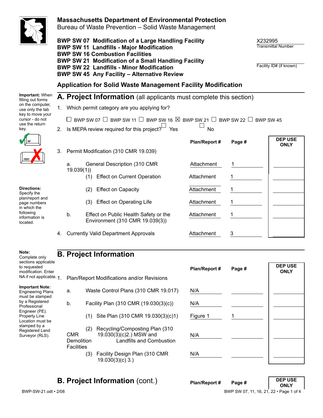

filling out forms on the computer, use only the tab key to move your cursor - do not

**Directions:** Specify the plan/report and page numbers in which the following information is located.

## **Massachusetts Department of Environmental Protection**

Bureau of Waste Prevention – Solid Waste Management

**BWP SW 07 Modification of a Large Handling Facility BWP SW 11 Landfills - Major Modification BWP SW 16 Combustion Facilities BWP SW 21 Modification of a Small Handling Facility BWP SW 22 Landfills - Minor Modification BWP SW 45 Any Facility – Alternative Review**

X232995 Transmittal Number

Facility ID# (if known)

**ONLY**

**Application for Solid Waste Management Facility Modification**

**Important:** When **A. Project Information** (all applicants must complete this section) 1. Which permit category are you applying for?

| $\Box$ BWP SW 07 $\Box$ BWP SW 11 $\Box$ BWP SW 16 $\boxtimes$ BWP SW 21 $\Box$ BWP SW 22 $\Box$ BWP SW 45 |
|------------------------------------------------------------------------------------------------------------|
| 2. Is MEPA review required for this project? $\Box$ Yes<br>$-$ No                                          |

**Attachment** 

Attachment 1

| use the return       |                            |
|----------------------|----------------------------|
| kev.                 | 2. Is MEPA review required |
| $\sqrt{\frac{1}{n}}$ |                            |

|--|

- a. General Description (310 CMR 19.039(1))
	- (1) Effect on Current Operation Attachment
	- (2) Effect on Capacity **Attachment**
	- (3) Effect on Operating Life Attachment
- b. Effect on Public Health Safety or the Environment (310 CMR 19.039(3))
- 4. Currently Valid Department Approvals **Attachment** 3

# **Note:**

Complete only sections applicable to requested modification. Enter NA if not applicable. **B. Project Information**

#### **Important Note:**

Engineering Plans must be stamped by a Registered Professional Engineer (PE). Property Line Location must be stamped by a Registered Land Surveyor (RLS).

|    |                                               |     |                                                                                               | <b>Flatikeport</b> # | E |
|----|-----------------------------------------------|-----|-----------------------------------------------------------------------------------------------|----------------------|---|
| 1. |                                               |     | Plan/Report Modifications and/or Revisions                                                    |                      |   |
|    | a.                                            |     | Waste Control Plans (310 CMR 19.017)                                                          | N/A                  |   |
|    | b.                                            |     | Facility Plan (310 CMR (19.030(3)(c))                                                         | N/A                  |   |
|    |                                               | (1) | Site Plan (310 CMR 19.030(3)(c)1)                                                             | Figure 1             | 1 |
|    | <b>CMR</b><br>Demolition<br><b>Facilities</b> | (2) | Recycling/Composting Plan (310)<br>19.030(3)(c)2.) MSW and<br><b>Landfills and Combustion</b> | N/A                  |   |
|    |                                               | (3) | Facility Design Plan (310 CMR<br>$19.030(3)(c)$ 3.)                                           | N/A                  |   |

| Plan/Report # | Page # | <b>DEP USE</b><br><b>ONLY</b> |
|---------------|--------|-------------------------------|
| N/A           |        |                               |
| N/A           |        |                               |
| Figure 1      |        |                               |
| N/A           |        |                               |
| N/A           |        |                               |

**Plan/Report # Page # DEP USE**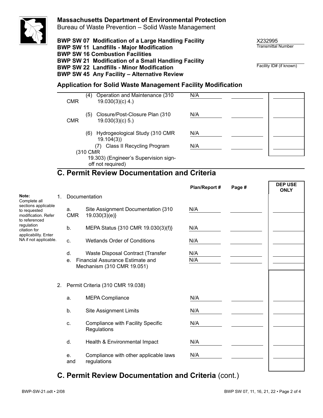

### **Massachusetts Department of Environmental Protection**

Bureau of Waste Prevention – Solid Waste Management

**BWP SW 07 Modification of a Large Handling Facility**

**BWP SW 21 Modification of a Small Handling Facility**

**BWP SW 11 Landfills - Major Modification**

**BWP SW 22 Landfills - Minor Modification BWP SW 45 Any Facility – Alternative Review**

**BWP SW 16 Combustion Facilities**

X232995 Transmittal Number

Facility ID# (if known)

# **Application for Solid Waste Management Facility Modification**

| <b>CMR</b> | Operation and Maintenance (310)<br>(4)<br>$19.030(3)(c)$ 4.) | N/A |  |
|------------|--------------------------------------------------------------|-----|--|
| <b>CMR</b> | (5)<br>Closure/Post-Closure Plan (310)<br>19.030(3)(c) 5.    | N/A |  |
|            | Hydrogeological Study (310 CMR<br>(6)<br>19.104(3)           | N/A |  |
|            | Class II Recycling Program<br>(7)<br>(310 CMR                | N/A |  |
|            | 19.303) (Engineer's Supervision sign-<br>off not required)   |     |  |

# **C. Permit Review Documentation and Criteria**

|                                                                             |                |                  |                                                                                                     | Plan/Report # | Page # | <b>DEP USE</b><br><b>ONLY</b> |
|-----------------------------------------------------------------------------|----------------|------------------|-----------------------------------------------------------------------------------------------------|---------------|--------|-------------------------------|
| Note:<br>Complete all                                                       | $\mathbf{1}$ . | Documentation    |                                                                                                     |               |        |                               |
| sections applicable<br>to requested<br>modification. Refer<br>to referenced |                | a.<br><b>CMR</b> | Site Assignment Documentation {310<br>19.030(3)(e)                                                  | N/A           |        |                               |
| regulation<br>citation for<br>applicability. Enter                          |                | b.               | MEPA Status {310 CMR 19.030(3)(f)}                                                                  | N/A           |        |                               |
| NA if not applicable.                                                       |                | C.               | <b>Wetlands Order of Conditions</b>                                                                 | N/A           |        |                               |
|                                                                             |                | d.<br>e.         | Waste Disposal Contract (Transfer<br>Financial Assurance Estimate and<br>Mechanism (310 CMR 19.051) | N/A<br>N/A    |        |                               |
|                                                                             | 2.             |                  | Permit Criteria (310 CMR 19.038)                                                                    |               |        |                               |
|                                                                             |                | a.               | <b>MEPA Compliance</b>                                                                              | N/A           |        |                               |
|                                                                             |                | b <sub>1</sub>   | <b>Site Assignment Limits</b>                                                                       | N/A           |        |                               |
|                                                                             |                | C.               | Compliance with Facility Specific<br>Regulations                                                    | N/A           |        |                               |
|                                                                             |                | d.               | Health & Environmental Impact                                                                       | N/A           |        |                               |
|                                                                             |                | e.<br>and        | Compliance with other applicable laws<br>regulations                                                | N/A           |        |                               |

# **C. Permit Review Documentation and Criteria** (cont.)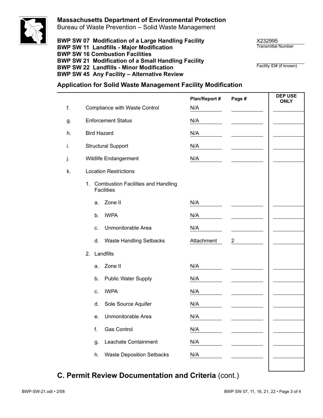

### **Massachusetts Department of Environmental Protection**

Bureau of Waste Prevention – Solid Waste Management

X232995 Transmittal Number

Facility ID# (if known)

**BWP SW 07 Modification of a Large Handling Facility BWP SW 11 Landfills - Major Modification BWP SW 16 Combustion Facilities BWP SW 21 Modification of a Small Handling Facility BWP SW 22 Landfills - Minor Modification BWP SW 45 Any Facility – Alternative Review**

### **Application for Solid Waste Management Facility Modification**

|    |    |                                                            | Plan/Report # | Page #         | <b>DEP USE</b><br><b>ONLY</b> |
|----|----|------------------------------------------------------------|---------------|----------------|-------------------------------|
| f. |    | <b>Compliance with Waste Control</b>                       | N/A           |                |                               |
| g. |    | <b>Enforcement Status</b>                                  | N/A           |                |                               |
| h. |    | <b>Bird Hazard</b>                                         | N/A           |                |                               |
| i. |    | <b>Structural Support</b>                                  | N/A           |                |                               |
| J. |    | <b>Wildlife Endangerment</b>                               | N/A           |                |                               |
| k. |    | <b>Location Restrictions</b>                               |               |                |                               |
|    |    | 1. Combustion Facilities and Handling<br><b>Facilities</b> |               |                |                               |
|    |    | Zone II<br>a.                                              | N/A           |                |                               |
|    |    | <b>IWPA</b><br>b.                                          | N/A           |                |                               |
|    |    | Unmonitorable Area<br>C.                                   | N/A           |                |                               |
|    |    | <b>Waste Handling Setbacks</b><br>d.                       | Attachment    | $\overline{2}$ |                               |
|    | 2. | Landfills                                                  |               |                |                               |
|    |    | Zone II<br>a.                                              | N/A           |                |                               |
|    |    | <b>Public Water Supply</b><br>b.                           | N/A           |                |                               |
|    |    | <b>IWPA</b><br>C.                                          | N/A           |                |                               |
|    |    | d.<br>Sole Source Aquifer                                  | N/A           |                |                               |
|    |    | Unmonitorable Area<br>е.                                   | N/A           |                |                               |
|    | f. | <b>Gas Control</b>                                         | N/A           |                |                               |
|    |    | Leachate Containment<br>g.                                 | N/A           |                |                               |
|    |    | <b>Waste Deposition Setbacks</b><br>h.                     | N/A           |                |                               |
|    |    |                                                            |               |                |                               |

# **C. Permit Review Documentation and Criteria** (cont.)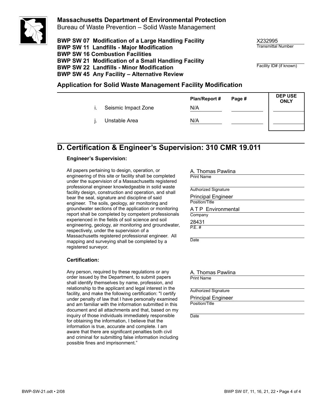

### **Massachusetts Department of Environmental Protection**

Bureau of Waste Prevention – Solid Waste Management

**BWP SW 07 Modification of a Large Handling Facility BWP SW 11 Landfills - Major Modification BWP SW 16 Combustion Facilities BWP SW 21 Modification of a Small Handling Facility BWP SW 22 Landfills - Minor Modification BWP SW 45 Any Facility – Alternative Review**

**Application for Solid Waste Management Facility Modification**

|                     | <b>Plan/Report #</b> | Page # | <b>DEP USE</b><br><b>ONLY</b> |
|---------------------|----------------------|--------|-------------------------------|
| Seismic Impact Zone | N/A                  |        |                               |
| Unstable Area       | N/A                  |        |                               |

# **D. Certification & Engineer's Supervision: 310 CMR 19.011**

### **Engineer's Supervision:**

All papers pertaining to design, operation, or engineering of this site or facility shall be completed under the supervision of a Massachusetts registered professional engineer knowledgeable in solid waste facility design, construction and operation, and shall bear the seal, signature and discipline of said engineer. The soils, geology, air monitoring and groundwater sections of the application or monitoring report shall be completed by competent professionals experienced in the fields of soil science and soil engineering, geology, air monitoring and groundwater, respectively, under the supervision of a Massachusetts registered professional engineer. All mapping and surveying shall be completed by a registered surveyor.

#### **Certification:**

Any person, required by these regulations or any order issued by the Department, to submit papers shall identify themselves by name, profession, and relationship to the applicant and legal interest in the facility, and make the following certification: "I certify under penalty of law that I have personally examined and am familiar with the information submitted in this document and all attachments and that, based on my inquiry of those individuals immediately responsible for obtaining the information, I believe that the information is true, accurate and complete. I am aware that there are significant penalties both civil and criminal for submitting false information including possible fines and imprisonment."

|            | A. Thomas Pawlina |  |
|------------|-------------------|--|
| Print Name |                   |  |

Authorized Signature

Principal Engineer Position/Title

A T P Environmental **Company** 

28431

P.E. #

**Date** 

A. Thomas Pawlina Print Name

Authorized Signature

Principal Engineer Position/Title

**Date** 

X232995 Transmittal Number

Facility ID# (if known)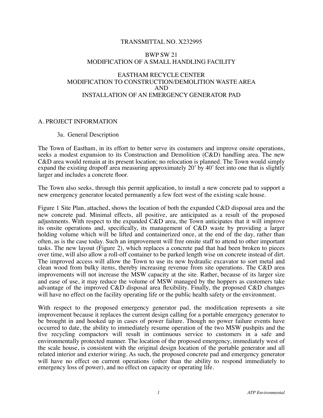### TRANSMITTAL NO. X232995

### BWP SW 21 MODIFICATION OF A SMALL HANDLING FACILITY

### EASTHAM RECYCLE CENTER MODIFICATION TO CONSTRUCTION/DEMOLITION WASTE AREA AND INSTALLATION OF AN EMERGENCY GENERATOR PAD

### A. PROJECT INFORMATION

### 3a. General Description

The Town of Eastham, in its effort to better serve its costumers and improve onsite operations, seeks a modest expansion to its Construction and Demolition (C&D) handling area. The new C&D area would remain at its present location; no relocation is planned. The Town would simply expand the existing dropoff area measuring approximately 20' by 40' feet into one that is slightly larger and includes a concrete floor.

The Town also seeks, through this permit application, to install a new concrete pad to support a new emergency generator located permanently a few feet west of the existing scale house.

Figure 1 Site Plan, attached, shows the location of both the expanded C&D disposal area and the new concrete pad. Minimal effects, all positive, are anticipated as a result of the proposed adjustments. With respect to the expanded C&D area, the Town anticipates that it will improve its onsite operations and, specifically, its management of C&D waste by providing a larger holding volume which will be lifted and containerized once, at the end of the day, rather than often, as is the case today. Such an improvement will free onsite staff to attend to other important tasks. The new layout (Figure 2), which replaces a concrete pad that had been broken to pieces over time, will also allow a roll-off container to be parked length wise on concrete instead of dirt. The improved access will allow the Town to use its new hydraulic excavator to sort metal and clean wood from bulky items, thereby increasing revenue from site operations. The C&D area improvements will not increase the MSW capacity at the site. Rather, because of its larger size and ease of use, it may reduce the volume of MSW managed by the hoppers as customers take advantage of the improved C&D disposal area flexibility. Finally, the proposed C&D changes will have no effect on the facility operating life or the public health safety or the environment.

With respect to the proposed emergency generator pad, the modification represents a site improvement because it replaces the current design calling for a portable emergency generator to be brought in and hooked up in cases of power failure. Though no power failure events have occurred to date, the ability to immediately resume operation of the two MSW pushpits and the five recycling compactors will result in continuous service to customers in a safe and environmentally protected manner. The location of the proposed emergency, immediately west of the scale house, is consistent with the original design location of the portable generator and all related interior and exterior wiring. As such, the proposed concrete pad and emergency generator will have no effect on current operations (other than the ability to respond immediately to emergency loss of power), and no effect on capacity or operating life.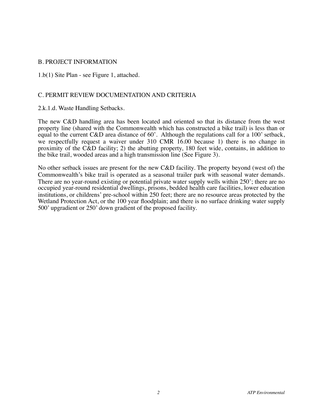### B. PROJECT INFORMATION

1.b(1) Site Plan - see Figure 1, attached.

### C. PERMIT REVIEW DOCUMENTATION AND CRITERIA

### 2.k.1.d. Waste Handling Setbacks.

The new C&D handling area has been located and oriented so that its distance from the west property line (shared with the Commonwealth which has constructed a bike trail) is less than or equal to the current C&D area distance of 60'. Although the regulations call for a 100' setback, we respectfully request a waiver under 310 CMR 16.00 because 1) there is no change in proximity of the C&D facility; 2) the abutting property, 180 feet wide, contains, in addition to the bike trail, wooded areas and a high transmission line (See Figure 3).

No other setback issues are present for the new C&D facility. The property beyond (west of) the Commonwealth's bike trail is operated as a seasonal trailer park with seasonal water demands. There are no year-round existing or potential private water supply wells within 250'; there are no occupied year-round residential dwellings, prisons, bedded health care facilities, lower education institutions, or childrens' pre-school within 250 feet; there are no resource areas protected by the Wetland Protection Act, or the 100 year floodplain; and there is no surface drinking water supply 500' upgradient or 250' down gradient of the proposed facility.